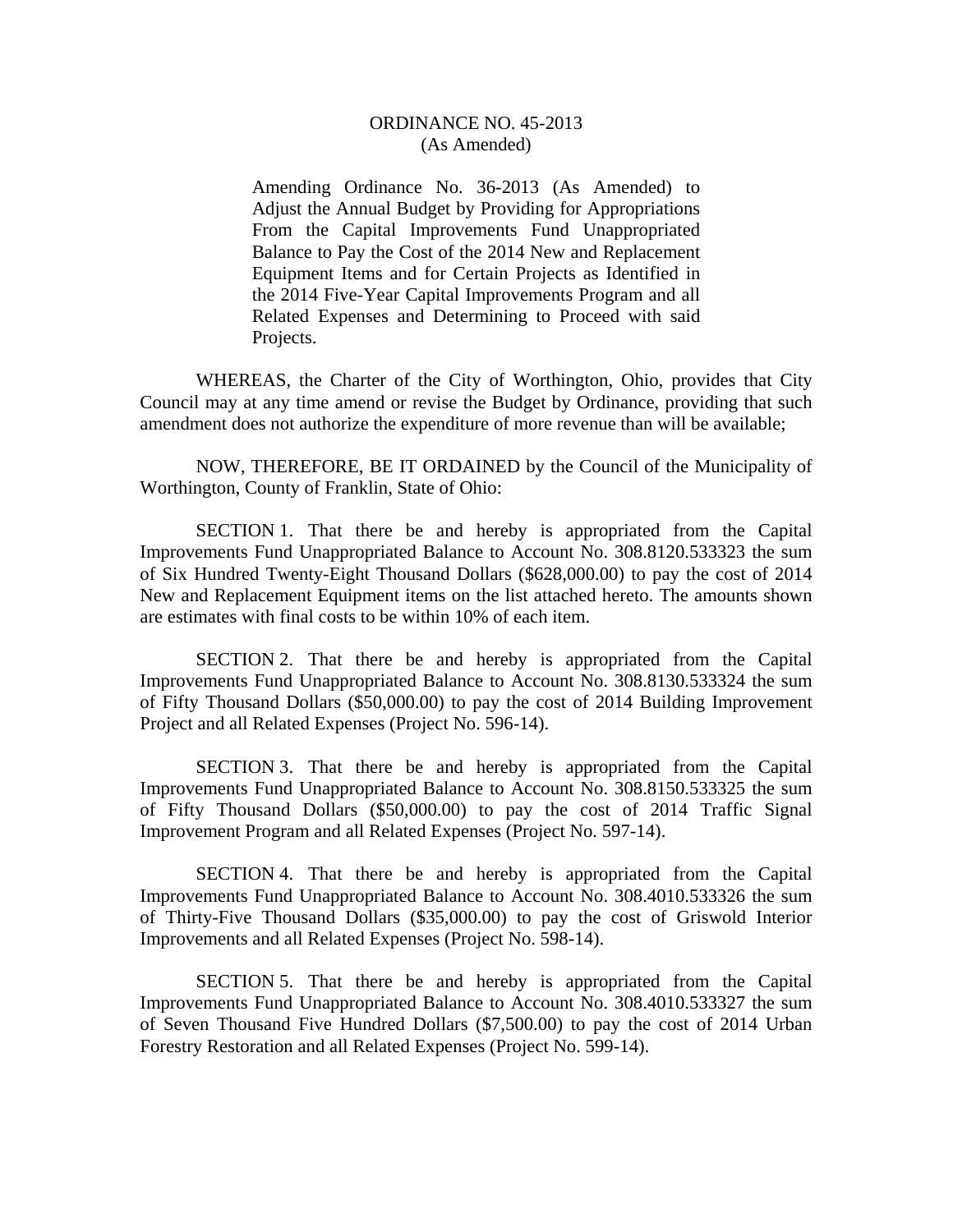## ORDINANCE NO. 45-2013 (As Amended)

Amending Ordinance No. 36-2013 (As Amended) to Adjust the Annual Budget by Providing for Appropriations From the Capital Improvements Fund Unappropriated Balance to Pay the Cost of the 2014 New and Replacement Equipment Items and for Certain Projects as Identified in the 2014 Five-Year Capital Improvements Program and all Related Expenses and Determining to Proceed with said Projects.

 WHEREAS, the Charter of the City of Worthington, Ohio, provides that City Council may at any time amend or revise the Budget by Ordinance, providing that such amendment does not authorize the expenditure of more revenue than will be available;

 NOW, THEREFORE, BE IT ORDAINED by the Council of the Municipality of Worthington, County of Franklin, State of Ohio:

 SECTION 1. That there be and hereby is appropriated from the Capital Improvements Fund Unappropriated Balance to Account No. 308.8120.533323 the sum of Six Hundred Twenty-Eight Thousand Dollars (\$628,000.00) to pay the cost of 2014 New and Replacement Equipment items on the list attached hereto. The amounts shown are estimates with final costs to be within 10% of each item.

 SECTION 2. That there be and hereby is appropriated from the Capital Improvements Fund Unappropriated Balance to Account No. 308.8130.533324 the sum of Fifty Thousand Dollars (\$50,000.00) to pay the cost of 2014 Building Improvement Project and all Related Expenses (Project No. 596-14).

 SECTION 3. That there be and hereby is appropriated from the Capital Improvements Fund Unappropriated Balance to Account No. 308.8150.533325 the sum of Fifty Thousand Dollars (\$50,000.00) to pay the cost of 2014 Traffic Signal Improvement Program and all Related Expenses (Project No. 597-14).

 SECTION 4. That there be and hereby is appropriated from the Capital Improvements Fund Unappropriated Balance to Account No. 308.4010.533326 the sum of Thirty-Five Thousand Dollars (\$35,000.00) to pay the cost of Griswold Interior Improvements and all Related Expenses (Project No. 598-14).

 SECTION 5. That there be and hereby is appropriated from the Capital Improvements Fund Unappropriated Balance to Account No. 308.4010.533327 the sum of Seven Thousand Five Hundred Dollars (\$7,500.00) to pay the cost of 2014 Urban Forestry Restoration and all Related Expenses (Project No. 599-14).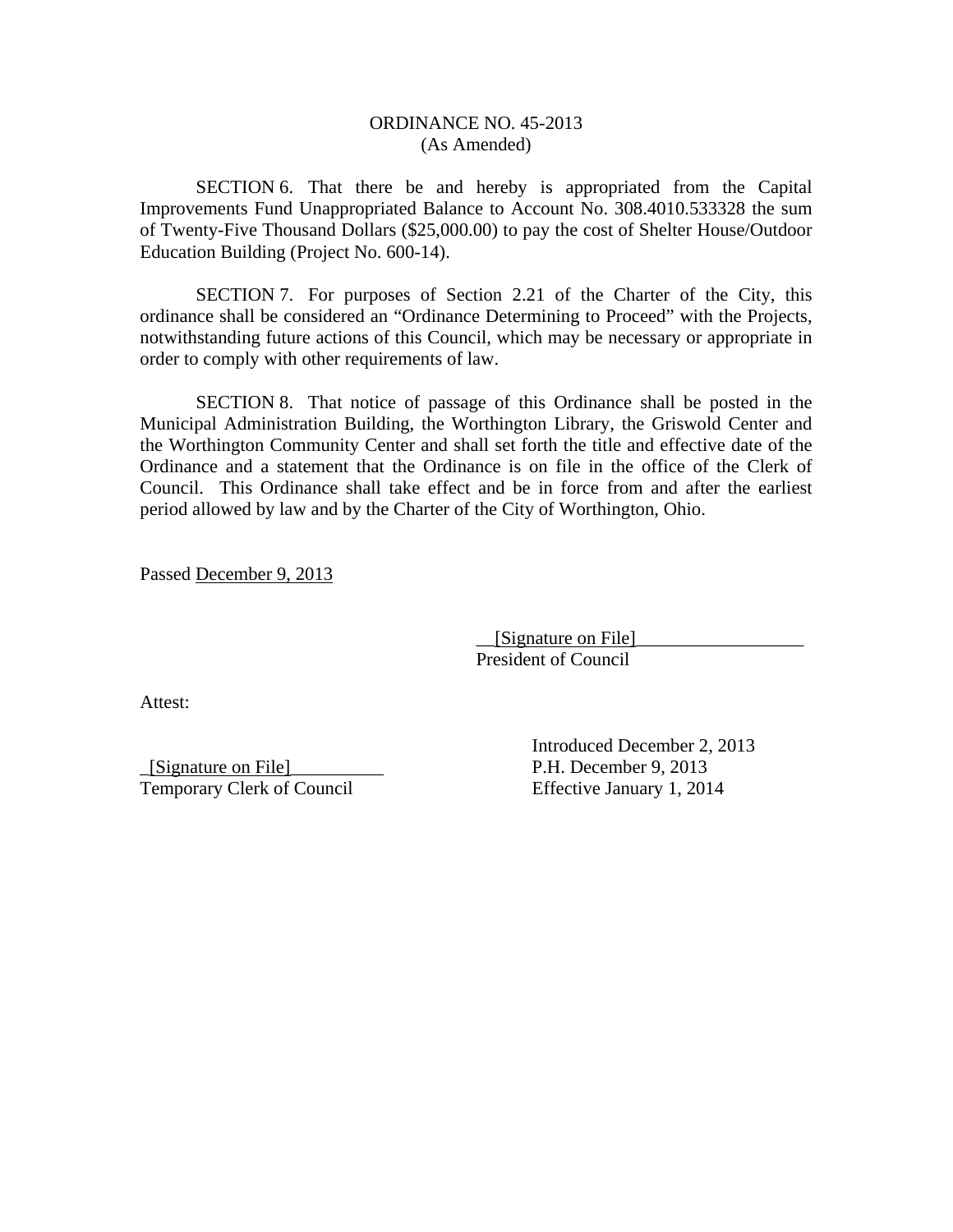## ORDINANCE NO. 45-2013 (As Amended)

SECTION 6. That there be and hereby is appropriated from the Capital Improvements Fund Unappropriated Balance to Account No. 308.4010.533328 the sum of Twenty-Five Thousand Dollars (\$25,000.00) to pay the cost of Shelter House/Outdoor Education Building (Project No. 600-14).

 SECTION 7. For purposes of Section 2.21 of the Charter of the City, this ordinance shall be considered an "Ordinance Determining to Proceed" with the Projects, notwithstanding future actions of this Council, which may be necessary or appropriate in order to comply with other requirements of law.

SECTION 8. That notice of passage of this Ordinance shall be posted in the Municipal Administration Building, the Worthington Library, the Griswold Center and the Worthington Community Center and shall set forth the title and effective date of the Ordinance and a statement that the Ordinance is on file in the office of the Clerk of Council. This Ordinance shall take effect and be in force from and after the earliest period allowed by law and by the Charter of the City of Worthington, Ohio.

Passed December 9, 2013

 $\Box$ [Signature on File] President of Council

Attest:

\_[Signature on File]\_\_\_\_\_\_\_\_\_\_ P.H. December 9, 2013 Temporary Clerk of Council Effective January 1, 2014

Introduced December 2, 2013